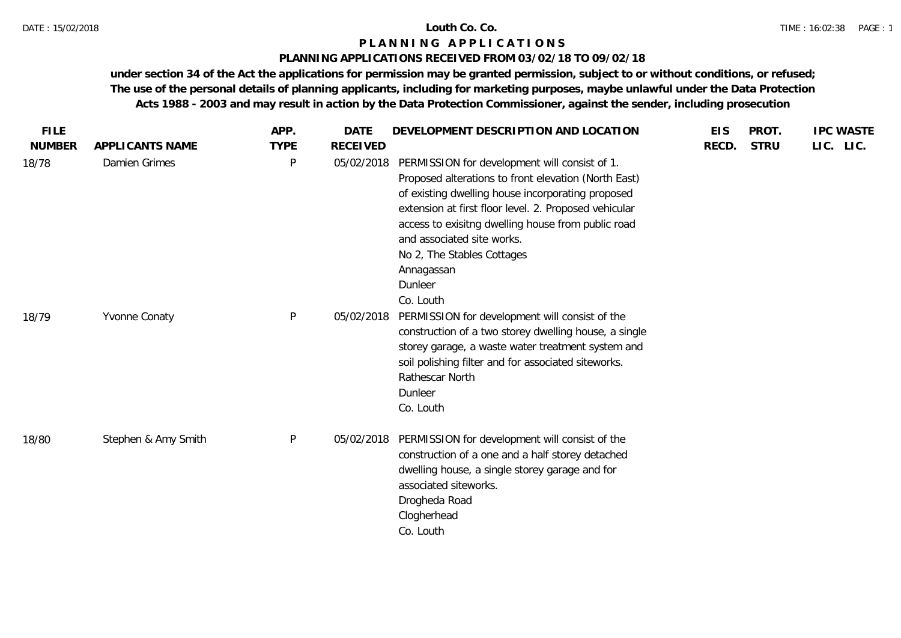### **PLANNING APPLICATIONS RECEIVED FROM 03/02/18 TO 09/02/18**

| <b>FILE</b>            |                                  | APP.                        | <b>DATE</b>                   | DEVELOPMENT DESCRIPTION AND LOCATION                                                                                                                                                                                                                                                                                                                           | <b>EIS</b> | PROT.       | <b>IPC WASTE</b> |
|------------------------|----------------------------------|-----------------------------|-------------------------------|----------------------------------------------------------------------------------------------------------------------------------------------------------------------------------------------------------------------------------------------------------------------------------------------------------------------------------------------------------------|------------|-------------|------------------|
| <b>NUMBER</b><br>18/78 | APPLICANTS NAME<br>Damien Grimes | <b>TYPE</b><br>$\mathsf{P}$ | <b>RECEIVED</b><br>05/02/2018 | PERMISSION for development will consist of 1.<br>Proposed alterations to front elevation (North East)<br>of existing dwelling house incorporating proposed<br>extension at first floor level. 2. Proposed vehicular<br>access to exisitng dwelling house from public road<br>and associated site works.<br>No 2, The Stables Cottages<br>Annagassan<br>Dunleer | RECD.      | <b>STRU</b> | LIC. LIC.        |
| 18/79                  | Yvonne Conaty                    | $\mathsf{P}$                | 05/02/2018                    | Co. Louth<br>PERMISSION for development will consist of the<br>construction of a two storey dwelling house, a single<br>storey garage, a waste water treatment system and<br>soil polishing filter and for associated siteworks.<br>Rathescar North<br>Dunleer<br>Co. Louth                                                                                    |            |             |                  |
| 18/80                  | Stephen & Amy Smith              | $\mathsf{P}$                | 05/02/2018                    | PERMISSION for development will consist of the<br>construction of a one and a half storey detached<br>dwelling house, a single storey garage and for<br>associated siteworks.<br>Drogheda Road<br>Clogherhead<br>Co. Louth                                                                                                                                     |            |             |                  |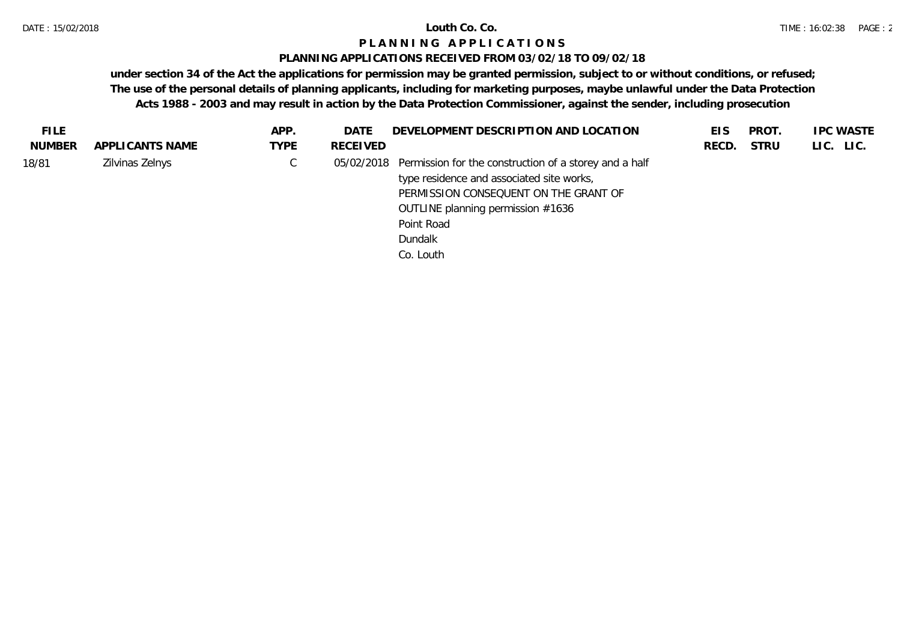## **PLANNING APPLICATIONS RECEIVED FROM 03/02/18 TO 09/02/18**

| <b>FILE</b>   |                 | APP.        | DATE     | DEVELOPMENT DESCRIPTION AND LOCATION                              | EIS   | PROT.       | <b>IPC WASTE</b> |
|---------------|-----------------|-------------|----------|-------------------------------------------------------------------|-------|-------------|------------------|
| <b>NUMBER</b> | APPLICANTS NAME | <b>TYPE</b> | RECEIVED |                                                                   | RECD. | <b>STRU</b> | LIC. LIC.        |
| 18/81         | Zilvinas Zelnys | ◡           |          | 05/02/2018 Permission for the construction of a storey and a half |       |             |                  |
|               |                 |             |          | type residence and associated site works,                         |       |             |                  |
|               |                 |             |          | PERMISSION CONSEQUENT ON THE GRANT OF                             |       |             |                  |
|               |                 |             |          | OUTLINE planning permission #1636                                 |       |             |                  |
|               |                 |             |          | Point Road                                                        |       |             |                  |
|               |                 |             |          | Dundalk                                                           |       |             |                  |
|               |                 |             |          | Co. Louth                                                         |       |             |                  |
|               |                 |             |          |                                                                   |       |             |                  |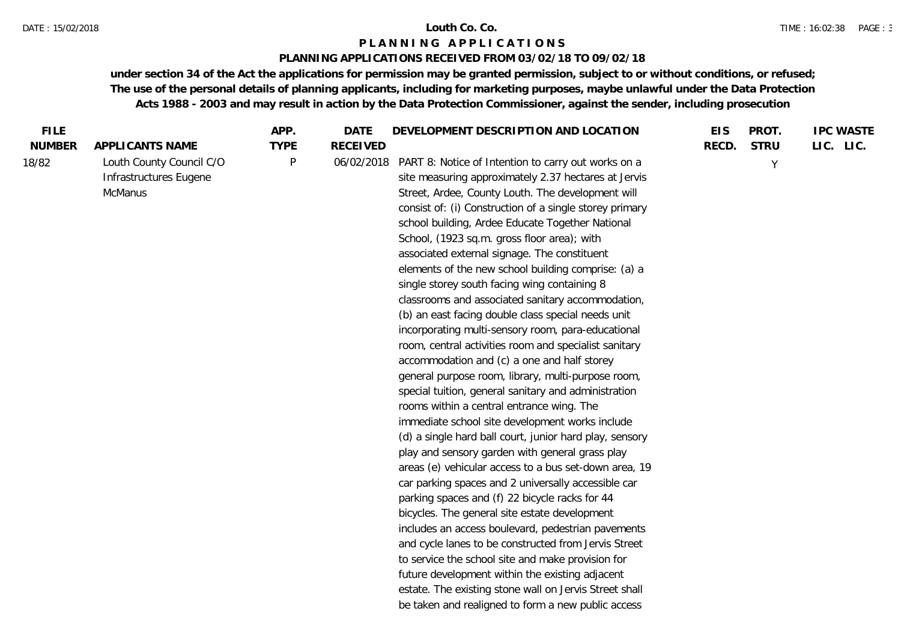#### DATE : 15/02/2018 **Louth Co. Co.**

## **P L A N N I N G A P P L I C A T I O N S**

## **PLANNING APPLICATIONS RECEIVED FROM 03/02/18 TO 09/02/18**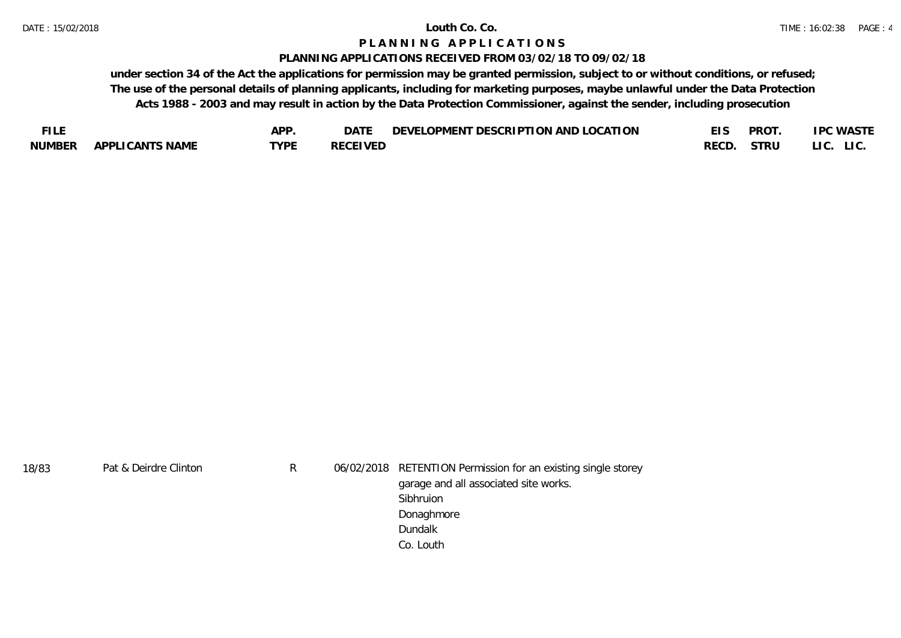#### **PLANNING APPLICATIONS RECEIVED FROM 03/02/18 TO 09/02/18**

| FU F          |                        | ADD.             | DAT)           | TON AND LOCATION<br><b>DESCRIPTI</b><br>LOPMENT<br><b>DEVEI</b> |      | <b>PROT</b> | .PC WASTE     |
|---------------|------------------------|------------------|----------------|-----------------------------------------------------------------|------|-------------|---------------|
| <b>NUMBER</b> | <b>APPLICANTS NAME</b> | TVDE<br><u>_</u> | RECEIVED<br>ᅛᄂ |                                                                 | RECD | STRU        | LIC.<br>LI C. |

| 18/83 | Pat & Deirdre Clinton | R | 06/02/2018 RETENTION Permission for an existing single storey |
|-------|-----------------------|---|---------------------------------------------------------------|
|       |                       |   | garage and all associated site works.                         |
|       |                       |   | Sibhruion                                                     |
|       |                       |   | Donaghmore                                                    |
|       |                       |   | Dundalk                                                       |
|       |                       |   | Co. Louth                                                     |
|       |                       |   |                                                               |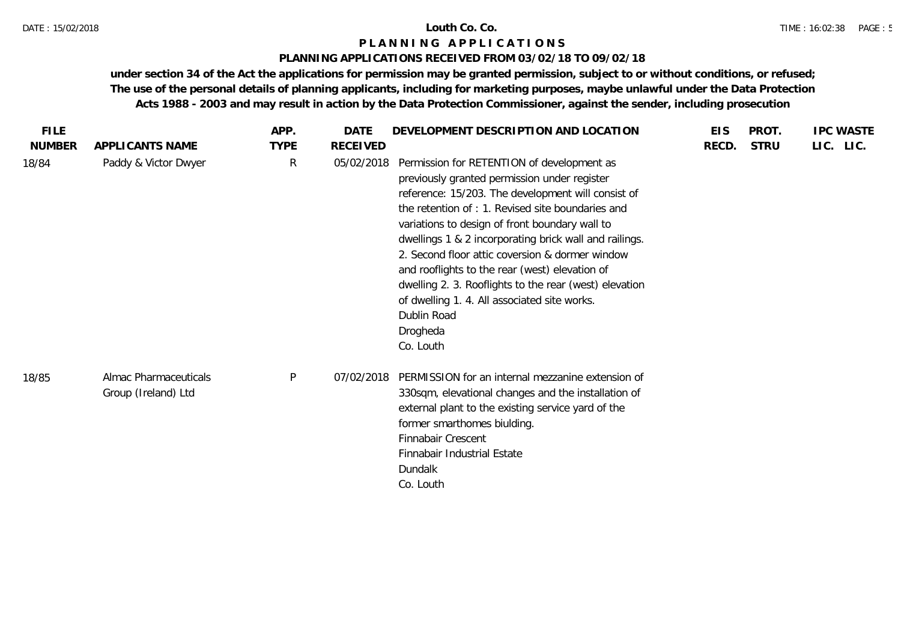## **PLANNING APPLICATIONS RECEIVED FROM 03/02/18 TO 09/02/18**

| <b>FILE</b>   |                                              | APP.         | <b>DATE</b> | DEVELOPMENT DESCRIPTION AND LOCATION                                                                                                                                                                                                                                                                                                                                                                                                                                                                                                                                    | <b>EIS</b> | PROT.       | <b>IPC WASTE</b> |
|---------------|----------------------------------------------|--------------|-------------|-------------------------------------------------------------------------------------------------------------------------------------------------------------------------------------------------------------------------------------------------------------------------------------------------------------------------------------------------------------------------------------------------------------------------------------------------------------------------------------------------------------------------------------------------------------------------|------------|-------------|------------------|
| <b>NUMBER</b> | APPLICANTS NAME                              | <b>TYPE</b>  | RECEIVED    |                                                                                                                                                                                                                                                                                                                                                                                                                                                                                                                                                                         | RECD.      | <b>STRU</b> | LIC. LIC.        |
| 18/84         | Paddy & Victor Dwyer                         | $\mathsf{R}$ | 05/02/2018  | Permission for RETENTION of development as<br>previously granted permission under register<br>reference: 15/203. The development will consist of<br>the retention of : 1. Revised site boundaries and<br>variations to design of front boundary wall to<br>dwellings 1 & 2 incorporating brick wall and railings.<br>2. Second floor attic coversion & dormer window<br>and rooflights to the rear (west) elevation of<br>dwelling 2. 3. Rooflights to the rear (west) elevation<br>of dwelling 1.4. All associated site works.<br>Dublin Road<br>Drogheda<br>Co. Louth |            |             |                  |
| 18/85         | Almac Pharmaceuticals<br>Group (Ireland) Ltd | P            | 07/02/2018  | PERMISSION for an internal mezzanine extension of<br>330sqm, elevational changes and the installation of<br>external plant to the existing service yard of the<br>former smarthomes biulding.<br>Finnabair Crescent<br>Finnabair Industrial Estate<br>Dundalk<br>Co. Louth                                                                                                                                                                                                                                                                                              |            |             |                  |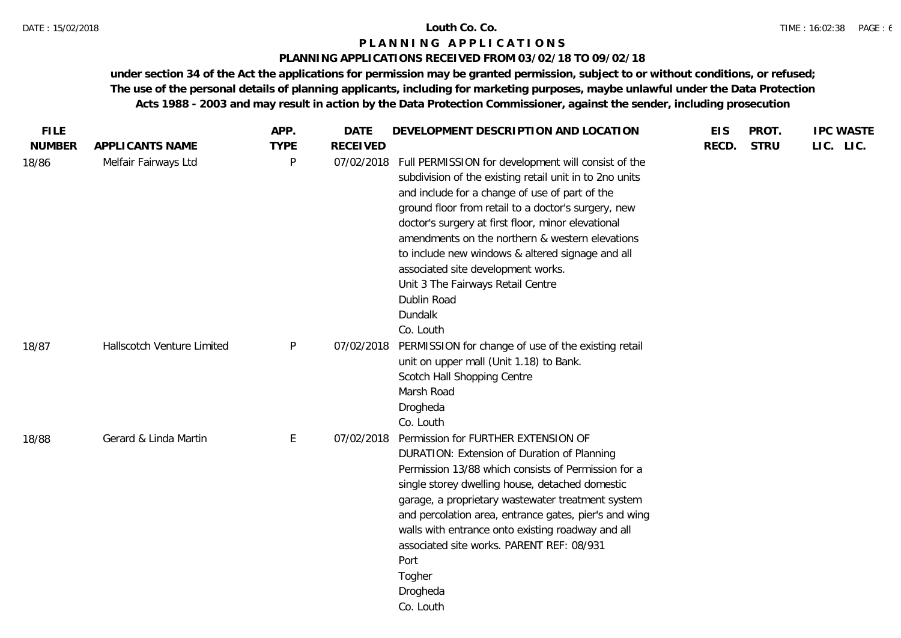## **PLANNING APPLICATIONS RECEIVED FROM 03/02/18 TO 09/02/18**

| <b>FILE</b>   |                            | APP.        | <b>DATE</b>     | DEVELOPMENT DESCRIPTION AND LOCATION                                                                                                                                                                                                                                                                                                                                                                                                                                                                   | <b>EIS</b> | PROT.       | <b>IPC WASTE</b> |
|---------------|----------------------------|-------------|-----------------|--------------------------------------------------------------------------------------------------------------------------------------------------------------------------------------------------------------------------------------------------------------------------------------------------------------------------------------------------------------------------------------------------------------------------------------------------------------------------------------------------------|------------|-------------|------------------|
| <b>NUMBER</b> | APPLICANTS NAME            | <b>TYPE</b> | <b>RECEIVED</b> |                                                                                                                                                                                                                                                                                                                                                                                                                                                                                                        | RECD.      | <b>STRU</b> | LIC. LIC.        |
| 18/86         | Melfair Fairways Ltd       | P           | 07/02/2018      | Full PERMISSION for development will consist of the<br>subdivision of the existing retail unit in to 2no units<br>and include for a change of use of part of the<br>ground floor from retail to a doctor's surgery, new<br>doctor's surgery at first floor, minor elevational<br>amendments on the northern & western elevations<br>to include new windows & altered signage and all<br>associated site development works.<br>Unit 3 The Fairways Retail Centre<br>Dublin Road<br>Dundalk<br>Co. Louth |            |             |                  |
| 18/87         | Hallscotch Venture Limited | P           | 07/02/2018      | PERMISSION for change of use of the existing retail<br>unit on upper mall (Unit 1.18) to Bank.<br>Scotch Hall Shopping Centre<br>Marsh Road<br>Drogheda<br>Co. Louth                                                                                                                                                                                                                                                                                                                                   |            |             |                  |
| 18/88         | Gerard & Linda Martin      | E           | 07/02/2018      | Permission for FURTHER EXTENSION OF<br>DURATION: Extension of Duration of Planning<br>Permission 13/88 which consists of Permission for a<br>single storey dwelling house, detached domestic<br>garage, a proprietary wastewater treatment system<br>and percolation area, entrance gates, pier's and wing<br>walls with entrance onto existing roadway and all<br>associated site works. PARENT REF: 08/931<br>Port<br>Togher<br>Drogheda<br>Co. Louth                                                |            |             |                  |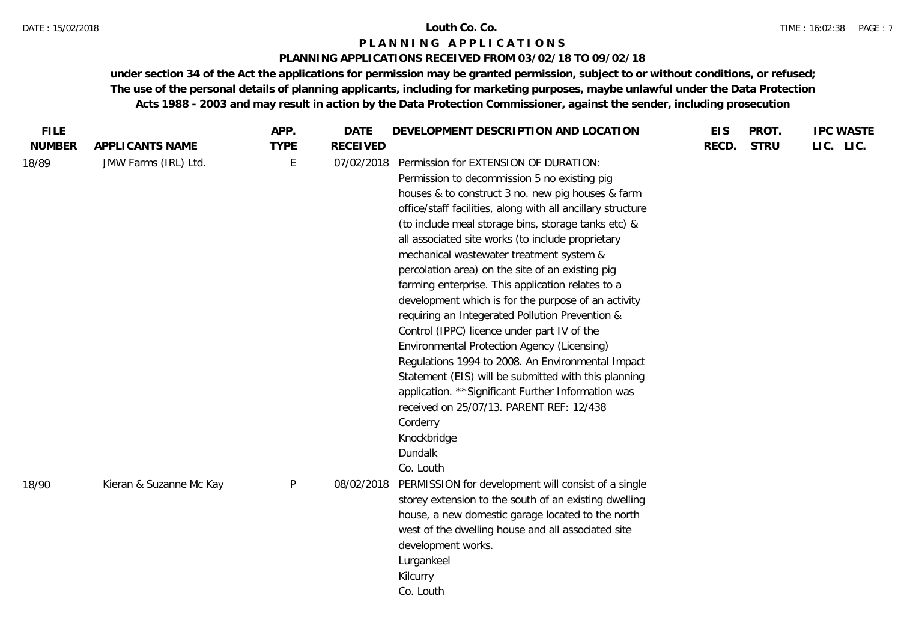#### DATE : 15/02/2018 **Louth Co. Co.**

## **P L A N N I N G A P P L I C A T I O N S**

### **PLANNING APPLICATIONS RECEIVED FROM 03/02/18 TO 09/02/18**

| <b>FILE</b>   |                         | APP.         | <b>DATE</b>     | DEVELOPMENT DESCRIPTION AND LOCATION                                                                                                                                                                                                                                                                                                                                                                                                                                                                                                                                                                                                                                                                                                                                                                                                                                                                                                                  | <b>EIS</b> | PROT.       | <b>IPC WASTE</b> |
|---------------|-------------------------|--------------|-----------------|-------------------------------------------------------------------------------------------------------------------------------------------------------------------------------------------------------------------------------------------------------------------------------------------------------------------------------------------------------------------------------------------------------------------------------------------------------------------------------------------------------------------------------------------------------------------------------------------------------------------------------------------------------------------------------------------------------------------------------------------------------------------------------------------------------------------------------------------------------------------------------------------------------------------------------------------------------|------------|-------------|------------------|
| <b>NUMBER</b> | APPLICANTS NAME         | <b>TYPE</b>  | <b>RECEIVED</b> |                                                                                                                                                                                                                                                                                                                                                                                                                                                                                                                                                                                                                                                                                                                                                                                                                                                                                                                                                       | RECD.      | <b>STRU</b> | LIC. LIC.        |
| 18/89         | JMW Farms (IRL) Ltd.    | Е            | 07/02/2018      | Permission for EXTENSION OF DURATION:<br>Permission to decommission 5 no existing pig<br>houses & to construct 3 no. new pig houses & farm<br>office/staff facilities, along with all ancillary structure<br>(to include meal storage bins, storage tanks etc) &<br>all associated site works (to include proprietary<br>mechanical wastewater treatment system &<br>percolation area) on the site of an existing pig<br>farming enterprise. This application relates to a<br>development which is for the purpose of an activity<br>requiring an Integerated Pollution Prevention &<br>Control (IPPC) licence under part IV of the<br>Environmental Protection Agency (Licensing)<br>Regulations 1994 to 2008. An Environmental Impact<br>Statement (EIS) will be submitted with this planning<br>application. ** Significant Further Information was<br>received on 25/07/13. PARENT REF: 12/438<br>Corderry<br>Knockbridge<br>Dundalk<br>Co. Louth |            |             |                  |
| 18/90         | Kieran & Suzanne Mc Kay | $\mathsf{P}$ | 08/02/2018      | PERMISSION for development will consist of a single<br>storey extension to the south of an existing dwelling<br>house, a new domestic garage located to the north<br>west of the dwelling house and all associated site<br>development works.<br>Lurgankeel<br>Kilcurry<br>Co. Louth                                                                                                                                                                                                                                                                                                                                                                                                                                                                                                                                                                                                                                                                  |            |             |                  |
|               |                         |              |                 |                                                                                                                                                                                                                                                                                                                                                                                                                                                                                                                                                                                                                                                                                                                                                                                                                                                                                                                                                       |            |             |                  |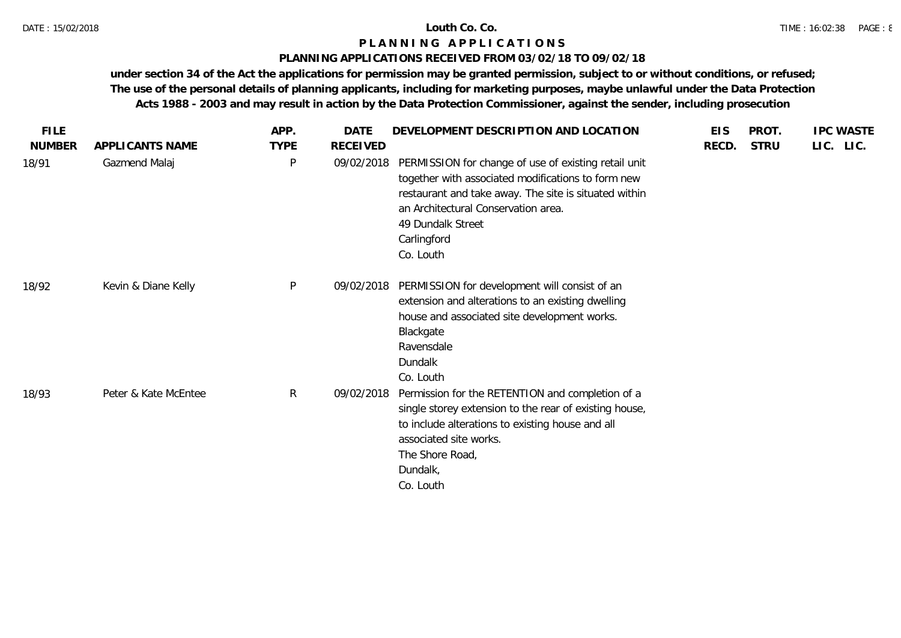## **PLANNING APPLICATIONS RECEIVED FROM 03/02/18 TO 09/02/18**

| <b>FILE</b>   |                      | APP.         | <b>DATE</b>     | DEVELOPMENT DESCRIPTION AND LOCATION                                                                                                                                                                                                                        | <b>EIS</b> | PROT.       | <b>IPC WASTE</b> |
|---------------|----------------------|--------------|-----------------|-------------------------------------------------------------------------------------------------------------------------------------------------------------------------------------------------------------------------------------------------------------|------------|-------------|------------------|
| <b>NUMBER</b> | APPLICANTS NAME      | <b>TYPE</b>  | <b>RECEIVED</b> |                                                                                                                                                                                                                                                             | RECD.      | <b>STRU</b> | LIC. LIC.        |
| 18/91         | Gazmend Malaj        | $\mathsf{P}$ | 09/02/2018      | PERMISSION for change of use of existing retail unit<br>together with associated modifications to form new<br>restaurant and take away. The site is situated within<br>an Architectural Conservation area.<br>49 Dundalk Street<br>Carlingford<br>Co. Louth |            |             |                  |
| 18/92         | Kevin & Diane Kelly  | $\mathsf{P}$ | 09/02/2018      | PERMISSION for development will consist of an<br>extension and alterations to an existing dwelling<br>house and associated site development works.<br>Blackgate<br>Ravensdale<br>Dundalk<br>Co. Louth                                                       |            |             |                  |
| 18/93         | Peter & Kate McEntee | $\mathsf{R}$ | 09/02/2018      | Permission for the RETENTION and completion of a<br>single storey extension to the rear of existing house,<br>to include alterations to existing house and all<br>associated site works.<br>The Shore Road,<br>Dundalk,<br>Co. Louth                        |            |             |                  |